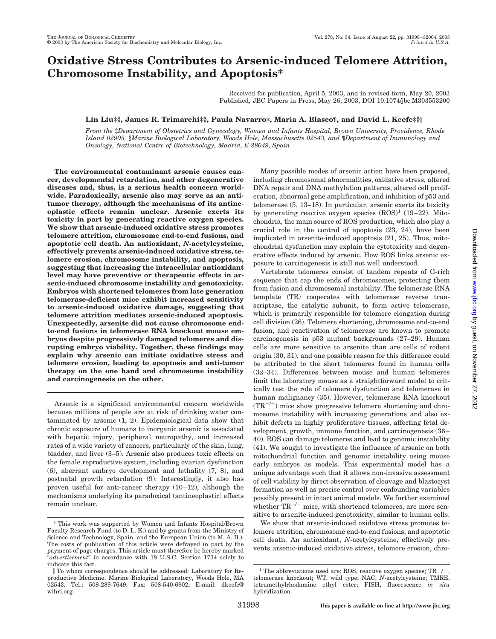# **Oxidative Stress Contributes to Arsenic-induced Telomere Attrition, Chromosome Instability, and Apoptosis\***

Received for publication, April 5, 2003, and in revised form, May 20, 2003 Published, JBC Papers in Press, May 26, 2003, DOI 10.1074/jbc.M303553200

# **Lin Liu‡§, James R. Trimarchi‡§, Paula Navarro‡, Maria A. Blasco¶, and David L. Keefe‡§**

*From the* ‡*Department of Obstetrics and Gynecology, Women and Infants Hospital, Brown University, Providence, Rhode Island 02905,* §*Marine Biological Laboratory, Woods Hole, Massachusetts 02543, and* ¶*Department of Immunology and Oncology, National Centre of Biotechnology, Madrid, E-28049, Spain*

**The environmental contaminant arsenic causes cancer, developmental retardation, and other degenerative diseases and, thus, is a serious health concern worldwide. Paradoxically, arsenic also may serve as an antitumor therapy, although the mechanisms of its antineoplastic effects remain unclear. Arsenic exerts its toxicity in part by generating reactive oxygen species. We show that arsenic-induced oxidative stress promotes telomere attrition, chromosome end-to-end fusions, and apoptotic cell death. An antioxidant,** *N***-acetylcysteine, effectively prevents arsenic-induced oxidative stress, telomere erosion, chromosome instability, and apoptosis, suggesting that increasing the intracellular antioxidant level may have preventive or therapeutic effects in arsenic-induced chromosome instability and genotoxicity. Embryos with shortened telomeres from late generation telomerase-deficient mice exhibit increased sensitivity to arsenic-induced oxidative damage, suggesting that telomere attrition mediates arsenic-induced apoptosis. Unexpectedly, arsenite did not cause chromosome endto-end fusions in telomerase RNA knockout mouse embryos despite progressively damaged telomeres and disrupting embryo viability. Together, these findings may explain why arsenic can initiate oxidative stress and telomere erosion, leading to apoptosis and anti-tumor therapy on the one hand and chromosome instability and carcinogenesis on the other.**

Arsenic is a significant environmental concern worldwide because millions of people are at risk of drinking water contaminated by arsenic (1, 2). Epidemiological data show that chronic exposure of humans to inorganic arsenic is associated with hepatic injury, peripheral neuropathy, and increased rates of a wide variety of cancers, particularly of the skin, lung, bladder, and liver (3–5). Arsenic also produces toxic effects on the female reproductive system, including ovarian dysfunction (6), aberrant embryo development and lethality (7, 8), and postnatal growth retardation (9). Interestingly, it also has proven useful for anti-cancer therapy (10–12), although the mechanisms underlying its paradoxical (antineoplastic) effects remain unclear.

Many possible modes of arsenic action have been proposed, including chromosomal abnormalities, oxidative stress, altered DNA repair and DNA methylation patterns, altered cell proliferation, abnormal gene amplification, and inhibition of p53 and telomerase (5, 13–18). In particular, arsenic exerts its toxicity by generating reactive oxygen species  $(ROS)^1$  (19–22). Mitochondria, the main source of ROS production, which also play a crucial role in the control of apoptosis (23, 24), have been implicated in arsenite-induced apoptosis (21, 25). Thus, mitochondrial dysfunction may explain the cytotoxicity and degenerative effects induced by arsenic. How ROS links arsenic exposure to carcinogenesis is still not well understood.

Vertebrate telomeres consist of tandem repeats of G-rich sequence that cap the ends of chromosomes, protecting them from fusion and chromosomal instability. The telomerase RNA template (TR) cooperates with telomerase reverse transcriptase, the catalytic subunit, to form active telomerase, which is primarily responsible for telomere elongation during cell division (26). Telomere shortening, chromosome end-to-end fusion, and reactivation of telomerase are known to promote carcinogenesis in p53 mutant backgrounds (27–29). Human cells are more sensitive to arsenite than are cells of rodent origin (30, 31), and one possible reason for this difference could be attributed to the short telomeres found in human cells (32–34). Differences between mouse and human telomeres limit the laboratory mouse as a straightforward model to critically test the role of telomere dysfunction and telomerase in human malignancy (35). However, telomerase RNA knockout  $(TR^{-/-})$  mice show progressive telomere shortening and chromosome instability with increasing generations and also exhibit defects in highly proliferative tissues, affecting fetal development, growth, immune function, and carcinogenesis (36– 40). ROS can damage telomeres and lead to genomic instability (41). We sought to investigate the influence of arsenic on both mitochondrial function and genomic instability using mouse early embryos as models. This experimental model has a unique advantage such that it allows non-invasive assessment of cell viability by direct observation of cleavage and blastocyst formation as well as precise control over confounding variables possibly present in intact animal models. We further examined whether  $TR^{-/-}$  mice, with shortened telomeres, are more sensitive to arsenite-induced genotoxicity, similar to human cells.

We show that arsenic-induced oxidative stress promotes telomere attrition, chromosome end-to-end fusions, and apoptotic cell death. An antioxidant, *N*-acetylcysteine, effectively prevents arsenic-induced oxidative stress, telomere erosion, chro-

<sup>\*</sup> This work was supported by Women and Infants Hospital/Brown Faculty Research Fund (to D. L. K.) and by grants from the Ministry of Science and Technology, Spain, and the European Union (to M. A. B.). The costs of publication of this article were defrayed in part by the payment of page charges. This article must therefore be hereby marked "*advertisement*" in accordance with 18 U.S.C. Section 1734 solely to indicate this fact.

To whom correspondence should be addressed: Laboratory for Reproductive Medicine, Marine Biological Laboratory, Woods Hole, MA 02543. Tel.: 508-289-7649; Fax: 508-540-6902; E-mail: dkeefe@ wihri.org.

<sup>&</sup>lt;sup>1</sup> The abbreviations used are: ROS, reactive oxygen species;  $TR-/$ telomerase knockout; WT, wild type; NAC, *N*-acetylcysteine; TMRE, tetramethylrhodamine ethyl ester; FISH, fluorescence *in situ* hybridization.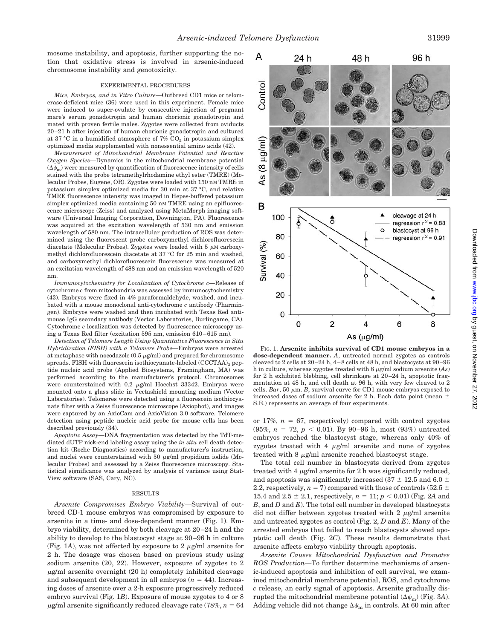mosome instability, and apoptosis, further supporting the notion that oxidative stress is involved in arsenic-induced chromosome instability and genotoxicity.

### EXPERIMENTAL PROCEDURES

*Mice, Embryos, and in Vitro Culture—*Outbreed CD1 mice or telomerase-deficient mice (36) were used in this experiment. Female mice were induced to super-ovulate by consecutive injection of pregnant mare's serum gonadotropin and human chorionic gonadotropin and mated with proven fertile males. Zygotes were collected from oviducts 20–21 h after injection of human chorionic gonadotropin and cultured at 37 °C in a humidified atmosphere of 7%  $CO<sub>2</sub>$  in potassium simplex optimized media supplemented with nonessential amino acids (42).

*Measurement of Mitochondrial Membrane Potential and Reactive Oxygen Species—*Dynamics in the mitochondrial membrane potential  $(\Delta \psi_\mathrm{m})$  were measured by quantification of fluorescence intensity of cells stained with the probe tetramethylrhodamine ethyl ester (TMRE) (Molecular Probes, Eugene, OR). Zygotes were loaded with 150 nM TMRE in potassium simplex optimized media for 30 min at 37 °C, and relative TMRE fluorescence intensity was imaged in Hepes-buffered potassium simplex optimized media containing 50 nm TMRE using an epifluorescence microscope (Zeiss) and analyzed using MetaMorph imaging software (Universal Imaging Corporation, Downington, PA). Fluorescence was acquired at the excitation wavelength of 530 nm and emission wavelength of 580 nm. The intracellular production of ROS was determined using the fluorescent probe carboxymethyl dichlorofluorescein diacetate (Molecular Probes). Zygotes were loaded with  $5 \mu$ M carboxymethyl dichlorofluorescein diacetate at 37 °C for 25 min and washed, and carboxymethyl dichlorofluorescein fluorescence was measured at an excitation wavelength of 488 nm and an emission wavelength of 520 nm.

*Immunocytochemistry for Localization of Cytochrome c—*Release of cytochrome *c* from mitochondria was assessed by immunocytochemistry (43). Embryos were fixed in 4% paraformaldehyde, washed, and incubated with a mouse monoclonal anti-cytochrome *c* antibody (Pharmingen). Embryos were washed and then incubated with Texas Red antimouse IgG secondary antibody (Vector Laboratories, Burlingame, CA). Cytochrome *c* localization was detected by fluorescence microscopy using a Texas Red filter (excitation 595 nm, emission 610–615 nm).

*Detection of Telomere Length Using Quantitative Fluorescence in Situ Hybridization (FISH) with a Telomere Probe—*Embryos were arrested at metaphase with nocodazole  $(0.5 \ \mu g/ml)$  and prepared for chromosome spreads. FISH with fluorescein isothiocyanate-labeled (CCCTAA)<sub>3</sub> peptide nucleic acid probe (Applied Biosystems, Framingham, MA) was performed according to the manufacturer's protocol. Chromosomes were counterstained with  $0.2 \mu$ g/ml Hoechst 33342. Embryos were mounted onto a glass slide in Vectashield mounting medium (Vector Laboratories). Telomeres were detected using a fluorescein isothiocyanate filter with a Zeiss fluorescence microscope (Axiophot), and images were captured by an AxioCam and AxioVision 3.0 software. Telomere detection using peptide nucleic acid probe for mouse cells has been described previously (34).

*Apoptotic Assay—*DNA fragmentation was detected by the TdT-mediated dUTP nick-end labeling assay using the *in situ* cell death detection kit (Roche Diagnostics) according to manufacturer's instruction, and nuclei were counterstained with 50  $\mu$ g/ml propidium iodide (Molecular Probes) and assessed by a Zeiss fluorescence microscopy. Statistical significance was analyzed by analysis of variance using Stat-View software (SAS, Cary, NC).

#### RESULTS

*Arsenite Compromises Embryo Viability—*Survival of outbreed CD-1 mouse embryos was compromised by exposure to arsenite in a time- and dose-dependent manner (Fig. 1). Embryo viability, determined by both cleavage at 20–24 h and the ability to develop to the blastocyst stage at 90–96 h in culture (Fig. 1A), was not affected by exposure to 2  $\mu$ g/ml arsenite for 2 h. The dosage was chosen based on previous study using sodium arsenite (20, 22). However, exposure of zygotes to 2 -g/ml arsenite overnight (20 h) completely inhibited cleavage and subsequent development in all embryos  $(n = 44)$ . Increasing doses of arsenite over a 2-h exposure progressively reduced embryo survival (Fig. 1*B*). Exposure of mouse zygotes to 4 or 8  $\mu$ g/ml arsenite significantly reduced cleavage rate (78%,  $n=64$ 



**dose-dependent manner.** *A*, untreated normal zygotes as controls cleaved to 2 cells at 20–24 h, 4–8 cells at 48 h, and blastocysts at 90–96 h in culture, whereas zygotes treated with 8  $\mu$ g/ml sodium arsenite (As) for 2 h exhibited blebbing, cell shrinkage at 20–24 h, apoptotic fragmentation at 48 h, and cell death at 96 h, with very few cleaved to 2 cells. *Bar*, 50  $\mu$ m. *B*, survival curve for CD1 mouse embryos exposed to increased doses of sodium arsenite for 2 h. Each data point (mean  $\pm$ S.E.) represents an average of four experiments.

or 17%,  $n = 67$ , respectively) compared with control zygotes  $(95\%, n = 72, p < 0.01)$ . By 90-96 h, most  $(93\%)$  untreated embryos reached the blastocyst stage, whereas only 40% of zygotes treated with 4  $\mu$ g/ml arsenite and none of zygotes treated with  $8 \mu g/ml$  arsenite reached blastocyst stage.

The total cell number in blastocysts derived from zygotes treated with 4  $\mu$ g/ml arsenite for 2 h was significantly reduced, and apoptosis was significantly increased (37  $\pm$  12.5 and 6.0  $\pm$ 2.2, respectively,  $n = 7$ ) compared with those of controls (52.5  $\pm$ 15.4 and 2.5  $\pm$  2.1, respectively,  $n = 11$ ;  $p < 0.01$ ) (Fig. 2A and *B*, and *D* and *E*). The total cell number in developed blastocysts did not differ between zygotes treated with 2  $\mu$ g/ml arsenite and untreated zygotes as control (Fig. 2, *D* and *E*). Many of the arrested embryos that failed to reach blastocysts showed apoptotic cell death (Fig. 2*C*). These results demonstrate that arsenite affects embryo viability through apoptosis.

*Arsenite Causes Mitochondrial Dysfunction and Promotes ROS Production—*To further determine mechanisms of arsenic-induced apoptosis and inhibition of cell survival, we examined mitochondrial membrane potential, ROS, and cytochrome *c* release, an early signal of apoptosis. Arsenite gradually disrupted the mitochondrial membrane potential  $(\Delta \psi_{\text{m}})$  (Fig. 3A). Adding vehicle did not change  $\Delta \psi_\text{m}$  in controls. At 60 min after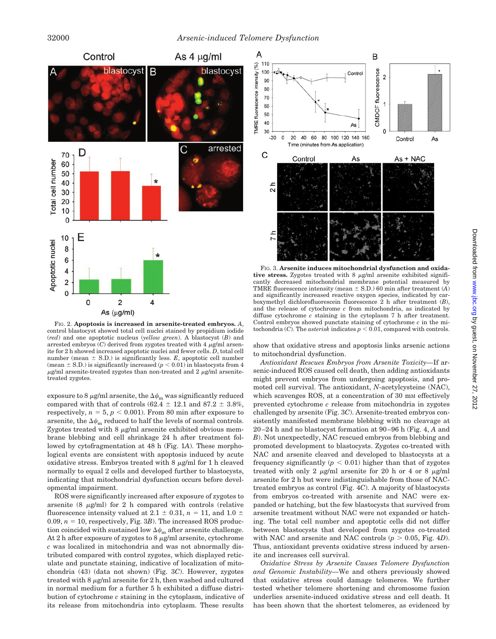

FIG. 2. **Apoptosis is increased in arsenite-treated embryos.** *A*, control blastocyst showed total cell nuclei stained by propidium iodide (*red*) and one apoptotic nucleus (*yellow green*). A blastocyst (*B*) and arrested embryos  $(C)$  derived from zygotes treated with 4  $\mu$ g/ml arsenite for 2 h showed increased apoptotic nuclei and fewer cells. *D*, total cell number (mean  $\pm$  S.D.) is significantly less. *E*, apoptotic cell number (mean  $\pm$  S.D.) is significantly increased ( $p < 0.01$ ) in blastocysts from 4  $\mu$ g/ml arsenite-treated zygotes than non-treated and 2  $\mu$ g/ml arsenitetreated zygotes.

exposure to 8  $\mu$ g/ml arsenite, the  $\Delta\psi_\text{m}$  was significantly reduced compared with that of controls  $(62.4 \pm 12.1 \text{ and } 87.2 \pm 3.8\%$ , respectively,  $n = 5$ ,  $p < 0.001$ ). From 80 min after exposure to arsenite, the  $\Delta \psi_\text{m}$  reduced to half the levels of normal controls. Zygotes treated with 8  $\mu$ g/ml arsenite exhibited obvious membrane blebbing and cell shrinkage 24 h after treatment followed by cytofragmentation at 48 h (Fig. 1*A*). These morphological events are consistent with apoptosis induced by acute oxidative stress. Embryos treated with  $8 \mu$ g/ml for 1 h cleaved normally to equal 2 cells and developed further to blastocysts, indicating that mitochondrial dysfunction occurs before developmental impairment.

ROS were significantly increased after exposure of zygotes to arsenite  $(8 \mu g/ml)$  for 2 h compared with controls (relative fluorescence intensity valued at  $2.1 \pm 0.31$ ,  $n = 11$ , and  $1.0 \pm 1.0$ 0.09,  $n = 10$ , respectively, Fig. 3*B*). The increased ROS production coincided with sustained low  $\Delta \psi_\text{m}$  after arsenite challenge. At 2 h after exposure of zygotes to 8  $\mu$ g/ml arsenite, cytochrome *c* was localized in mitochondria and was not abnormally distributed compared with control zygotes, which displayed reticulate and punctate staining, indicative of localization of mitochondria (43) (data not shown) (Fig. 3*C*). However, zygotes treated with 8  $\mu$ g/ml arsenite for 2 h, then washed and cultured in normal medium for a further 5 h exhibited a diffuse distribution of cytochrome *c* staining in the cytoplasm, indicative of its release from mitochondria into cytoplasm. These results



FIG. 3. **Arsenite induces mitochondrial dysfunction and oxida**tive stress. Zygotes treated with  $8 \mu g/ml$  arsenite exhibited significantly decreased mitochondrial membrane potential measured by TMRE fluorescence intensity (mean  $\pm$  S.D.) 60 min after treatment (*A*) and significantly increased reactive oxygen species, indicated by carboxymethyl dichlorofluorescein fluorescence 2 h after treatment (*B*), and the release of cytochrome *c* from mitochondria, as indicated by diffuse cytochrome *c* staining in the cytoplasm 7 h after treatment. Control embryos showed punctate staining of cytochrome *c* in the mitochondria (*C*). The *asterisk* indicates  $p < 0.01$ , compared with controls.

show that oxidative stress and apoptosis links arsenic actions to mitochondrial dysfunction.

*Antioxidant Rescues Embryos from Arsenite Toxicity—*If arsenic-induced ROS caused cell death, then adding antioxidants might prevent embryos from undergoing apoptosis, and promoted cell survival. The antioxidant, *N*-acetylcysteine (NAC), which scavenges ROS, at a concentration of 30 mm effectively prevented cytochrome *c* release from mitochondria in zygotes challenged by arsenite (Fig. 3*C*). Arsenite-treated embryos consistently manifested membrane blebbing with no cleavage at 20–24 h and no blastocyst formation at 90–96 h (Fig. 4, *A* and *B*). Not unexpectedly, NAC rescued embryos from blebbing and promoted development to blastocysts. Zygotes co-treated with NAC and arsenite cleaved and developed to blastocysts at a frequency significantly  $(p < 0.01)$  higher than that of zygotes treated with only 2  $\mu$ g/ml arsenite for 20 h or 4 or 8  $\mu$ g/ml arsenite for 2 h but were indistinguishable from those of NACtreated embryos as control (Fig. 4*C*). A majority of blastocysts from embryos co-treated with arsenite and NAC were expanded or hatching, but the few blastocysts that survived from arsenite treatment without NAC were not expanded or hatching. The total cell number and apoptotic cells did not differ between blastocysts that developed from zygotes co-treated with NAC and arsenite and NAC controls  $(p > 0.05,$  Fig. 4*D*). Thus, antioxidant prevents oxidative stress induced by arsenite and increases cell survival.

*Oxidative Stress by Arsenite Causes Telomere Dysfunction and Genomic Instability—*We and others previously showed that oxidative stress could damage telomeres. We further tested whether telomere shortening and chromosome fusion underlies arsenite-induced oxidative stress and cell death. It has been shown that the shortest telomeres, as evidenced by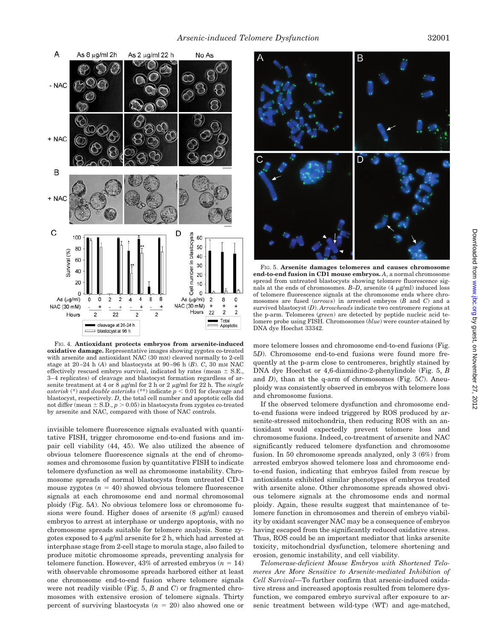

FIG. 4. **Antioxidant protects embryos from arsenite-induced oxidative damage.** Representative images showing zygotes co-treated with arsenite and antioxidant NAC (30 mM) cleaved normally to 2-cell stage at  $20-24$  h  $(A)$  and blastocysts at  $90-96$  h  $(B)$ . C,  $30$  mm NAC effectively rescued embryo survival, indicated by rates (mean  $\pm$  S.E., 3–4 replicates) of cleavage and blastocyst formation regardless of arsenite treatment at 4 or 8  $\mu$ g/ml for 2 h or 2  $\mu$ g/ml for 22 h. The *single asterisk* (\*) and *double asterisks* (\*\*) indicate  $p < 0.01$  for cleavage and blastocyst, respectively. *D*, the total cell number and apoptotic cells did not differ (mean  $\pm$  S.D.,  $p > 0.05$ ) in blastocysts from zygotes co-treated by arsenite and NAC, compared with those of NAC controls.

invisible telomere fluorescence signals evaluated with quantitative FISH, trigger chromosome end-to-end fusions and impair cell viability (44, 45). We also utilized the absence of obvious telomere fluorescence signals at the end of chromosomes and chromosome fusion by quantitative FISH to indicate telomere dysfunction as well as chromosome instability. Chromosome spreads of normal blastocysts from untreated CD-1 mouse zygotes  $(n = 40)$  showed obvious telomere fluorescence signals at each chromosome end and normal chromosomal ploidy (Fig. 5*A*). No obvious telomere loss or chromosome fusions were found. Higher doses of arsenite  $(8 \mu g/ml)$  caused embryos to arrest at interphase or undergo apoptosis, with no chromosome spreads suitable for telomere analysis. Some zygotes exposed to 4  $\mu$ g/ml arsenite for 2 h, which had arrested at interphase stage from 2-cell stage to morula stage, also failed to produce mitotic chromosome spreads, preventing analysis for telomere function. However,  $43\%$  of arrested embryos ( $n = 14$ ) with observable chromosome spreads harbored either at least one chromosome end-to-end fusion where telomere signals were not readily visible (Fig. 5, *B* and *C*) or fragmented chromosomes with extensive erosion of telomere signals. Thirty percent of surviving blastocysts  $(n = 20)$  also showed one or



FIG. 5. **Arsenite damages telomeres and causes chromosome end-to-end fusion in CD1 mouse embryos.** *A*, a normal chromosome spread from untreated blastocysts showing telomere fluorescence signals at the ends of chromosomes.  $B-D$ , arsenite  $(4 \mu g/ml)$  induced loss of telomere fluorescence signals at the chromosome ends where chromosomes are fused (*arrows*) in arrested embryos (*B* and *C*) and a survived blastocyst (*D*). *Arrowheads* indicate two centromere regions at the p-arm. Telomeres (*green*) are detected by peptide nucleic acid telomere probe using FISH. Chromosomes (*blue*) were counter-stained by DNA dye Hoechst 33342.

more telomere losses and chromosome end-to-end fusions (Fig. 5*D*). Chromosome end-to-end fusions were found more frequently at the p-arm close to centromeres, brightly stained by DNA dye Hoechst or 4,6-diamidino-2-phenylindole (Fig. 5, *B* and *D*), than at the q-arm of chromosomes (Fig. 5*C*). Aneuploidy was consistently observed in embryos with telomere loss and chromosome fusions.

If the observed telomere dysfunction and chromosome endto-end fusions were indeed triggered by ROS produced by arsenite-stressed mitochondria, then reducing ROS with an antioxidant would expectedly prevent telomere loss and chromosome fusions. Indeed, co-treatment of arsenite and NAC significantly reduced telomere dysfunction and chromosome fusion. In 50 chromosome spreads analyzed, only 3 (6%) from arrested embryos showed telomere loss and chromosome endto-end fusion, indicating that embryos failed from rescue by antioxidants exhibited similar phenotypes of embryos treated with arsenite alone. Other chromosome spreads showed obvious telomere signals at the chromosome ends and normal ploidy. Again, these results suggest that maintenance of telomere function in chromosomes and therein of embryo viability by oxidant scavenger NAC may be a consequence of embryos having escaped from the significantly reduced oxidative stress. Thus, ROS could be an important mediator that links arsenite toxicity, mitochondrial dysfunction, telomere shortening and erosion, genomic instability, and cell viability.

*Telomerase-deficient Mouse Embryos with Shortened Telomeres Are More Sensitive to Arsenite-mediated Inhibition of Cell Survival—*To further confirm that arsenic-induced oxidative stress and increased apoptosis resulted from telomere dysfunction, we compared embryo survival after exposure to arsenic treatment between wild-type (WT) and age-matched,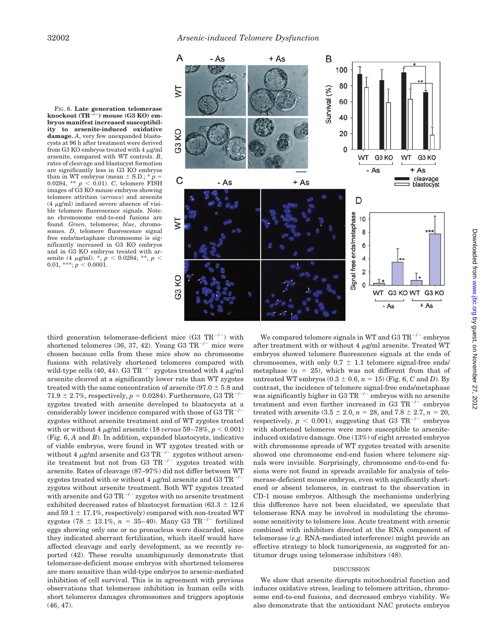



third generation telomerase-deficient mice  $(G3 TR^{-/-})$  with shortened telomeres (36, 37, 42). Young G3  $TR^{-/-}$  mice were chosen because cells from these mice show no chromosome fusions with relatively shortened telomeres compared with wild-type cells (40, 44). G3 TR<sup>-/-</sup> zygotes treated with 4  $\mu$ g/ml arsenite cleaved at a significantly lower rate than WT zygotes treated with the same concentration of arsenite ( $97.0 \pm 5.8$  and 71.9  $\pm$  2.7%, respectively,  $p = 0.0284$ ). Furthermore, G3 TR<sup>-/-</sup> zygotes treated with arsenite developed to blastocysts at a considerably lower incidence compared with those of G3  $TR^{-/-}$ zygotes without arsenite treatment and of WT zygotes treated with or without 4  $\mu$ g/ml arsenite (18 *versus* 59–78%,  $p < 0.001$ ) (Fig. 6, *A* and *B*). In addition, expanded blastocysts, indicative of viable embryos, were found in WT zygotes treated with or without 4  $\mu$ g/ml arsenite and G3 TR<sup>-/-</sup> zygotes without arsenite treatment but not from G3  $TR^{-/-}$  zygotes treated with arsenite. Rates of cleavage (87–97%) did not differ between WT zygotes treated with or without 4  $\mu$ g/ml arsenite and G3 TR<sup>-/-</sup> zygotes without arsenite treatment. Both WT zygotes treated with arsenite and G3 TR<sup> $-/-$ </sup> zygotes with no arsenite treatment exhibited decreased rates of blastocyst formation (63.3  $\pm$  12.6 and  $59.1 \pm 17.1\%$ , respectively) compared with non-treated WT zygotes (78  $\pm$  13.1%, *n* = 35–40). Many G3 TR<sup>-/-</sup> fertilized eggs showing only one or no pronucleus were discarded, since they indicated aberrant fertilization, which itself would have affected cleavage and early development, as we recently reported (42). These results unambiguously demonstrate that telomerase-deficient mouse embryos with shortened telomeres are more sensitive than wild-type embryos to arsenic-mediated inhibition of cell survival. This is in agreement with previous observations that telomerase inhibition in human cells with short telomeres damages chromosomes and triggers apoptosis (46, 47).

We compared telomere signals in WT and G3  $TR^{-/-}$  embryos after treatment with or without 4  $\mu$ g/ml arsenite. Treated WT embryos showed telomere fluorescence signals at the ends of chromosomes, with only  $0.7 \pm 1.1$  telomere signal-free ends/ metaphase  $(n = 25)$ , which was not different from that of untreated WT embryos  $(0.3 \pm 0.6, n = 15)$  (Fig. 6, *C* and *D*). By contrast, the incidence of telomere signal-free ends/metaphase was significantly higher in G3 TR<sup> $-/-$ </sup> embryos with no arsenite treatment and even further increased in G3  $\mathrm{TR}^{-/-}$  embryos treated with arsenite  $(3.5 \pm 2.0, n = 28, \text{ and } 7.8 \pm 2.7, n = 20,$ respectively,  $p < 0.001$ ), suggesting that G3 TR<sup>-/-</sup> embryos with shortened telomeres were more susceptible to arseniteinduced oxidative damage. One (13%) of eight arrested embryos with chromosome spreads of WT zygotes treated with arsenite showed one chromosome end-end fusion where telomere signals were invisible. Surprisingly, chromosome end-to-end fusions were not found in spreads available for analysis of telomerase-deficient mouse embryos, even with significantly shortened or absent telomeres, in contrast to the observation in CD-1 mouse embryos. Although the mechanisms underlying this difference have not been elucidated, we speculate that telomerase RNA may be involved in modulating the chromosome sensitivity to telomere loss. Acute treatment with arsenic combined with inhibitors directed at the RNA component of telomerase (*e.g.* RNA-mediated interference) might provide an effective strategy to block tumorigenesis, as suggested for antitumor drugs using telomerase inhibitors (48).

## DISCUSSION

We show that arsenite disrupts mitochondrial function and induces oxidative stress, leading to telomere attrition, chromosome end-to-end fusions, and decreased embryo viability. We also demonstrate that the antioxidant NAC protects embryos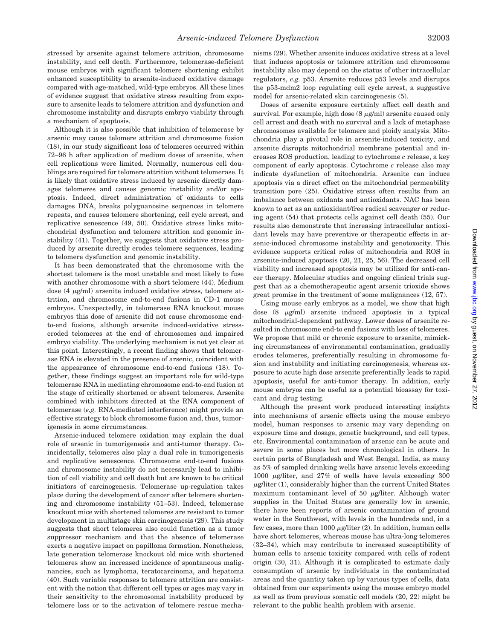stressed by arsenite against telomere attrition, chromosome instability, and cell death. Furthermore, telomerase-deficient mouse embryos with significant telomere shortening exhibit enhanced susceptibility to arsenite-induced oxidative damage compared with age-matched, wild-type embryos. All these lines of evidence suggest that oxidative stress resulting from exposure to arsenite leads to telomere attrition and dysfunction and chromosome instability and disrupts embryo viability through a mechanism of apoptosis.

Although it is also possible that inhibition of telomerase by arsenic may cause telomere attrition and chromosome fusion (18), in our study significant loss of telomeres occurred within 72–96 h after application of medium doses of arsenite, when cell replications were limited. Normally, numerous cell doublings are required for telomere attrition without telomerase. It is likely that oxidative stress induced by arsenic directly damages telomeres and causes genomic instability and/or apoptosis. Indeed, direct administration of oxidants to cells damages DNA, breaks polyguanosine sequences in telomere repeats, and causes telomere shortening, cell cycle arrest, and replicative senescence (49, 50). Oxidative stress links mitochondrial dysfunction and telomere attrition and genomic instability (41). Together, we suggests that oxidative stress produced by arsenite directly erodes telomere sequences, leading to telomere dysfunction and genomic instability.

It has been demonstrated that the chromosome with the shortest telomere is the most unstable and most likely to fuse with another chromosome with a short telomere (44). Medium dose  $(4 \mu g/ml)$  arsenite induced oxidative stress, telomere attrition, and chromosome end-to-end fusions in CD-1 mouse embryos. Unexpectedly, in telomerase RNA knockout mouse embryos this dose of arsenite did not cause chromosome endto-end fusions, although arsenite induced-oxidative stresseroded telomeres at the end of chromosomes and impaired embryo viability. The underlying mechanism is not yet clear at this point. Interestingly, a recent finding shows that telomerase RNA is elevated in the presence of arsenic, coincident with the appearance of chromosome end-to-end fusions (18). Together, these findings suggest an important role for wild-type telomerase RNA in mediating chromosome end-to-end fusion at the stage of critically shortened or absent telomeres. Arsenite combined with inhibitors directed at the RNA component of telomerase (*e.g.* RNA-mediated interference) might provide an effective strategy to block chromosome fusion and, thus, tumorigenesis in some circumstances.

Arsenic-induced telomere oxidation may explain the dual role of arsenic in tumorigenesis and anti-tumor therapy. Coincidentally, telomeres also play a dual role in tumorigenesis and replicative senescence. Chromosome end-to-end fusions and chromosome instability do not necessarily lead to inhibition of cell viability and cell death but are known to be critical initiators of carcinogenesis. Telomerase up-regulation takes place during the development of cancer after telomere shortening and chromosome instability (51–53). Indeed, telomerase knockout mice with shortened telomeres are resistant to tumor development in multistage skin carcinogenesis (29). This study suggests that short telomeres also could function as a tumor suppressor mechanism and that the absence of telomerase exerts a negative impact on papilloma formation. Nonetheless, late generation telomerase knockout old mice with shortened telomeres show an increased incidence of spontaneous malignancies, such as lymphoma, teratocarcinoma, and hepatoma (40). Such variable responses to telomere attrition are consistent with the notion that different cell types or ages may vary in their sensitivity to the chromosomal instability produced by telomere loss or to the activation of telomere rescue mechanisms (29). Whether arsenite induces oxidative stress at a level that induces apoptosis or telomere attrition and chromosome instability also may depend on the status of other intracellular regulators, *e.g.* p53. Arsenite reduces p53 levels and disrupts the p53-mdm2 loop regulating cell cycle arrest, a suggestive model for arsenic-related skin carcinogenesis (5).

Doses of arsenite exposure certainly affect cell death and survival. For example, high dose  $(8 \ \mu g/ml)$  arsenite caused only cell arrest and death with no survival and a lack of metaphase chromosomes available for telomere and ploidy analysis. Mitochondria play a pivotal role in arsenite-induced toxicity, and arsenite disrupts mitochondrial membrane potential and increases ROS production, leading to cytochrome *c* release, a key component of early apoptosis. Cytochrome *c* release also may indicate dysfunction of mitochondria. Arsenite can induce apoptosis via a direct effect on the mitochondrial permeability transition pore (25). Oxidative stress often results from an imbalance between oxidants and antioxidants. NAC has been known to act as an antioxidant/free radical scavenger or reducing agent (54) that protects cells against cell death (55). Our results also demonstrate that increasing intracellular antioxidant levels may have preventive or therapeutic effects in arsenic-induced chromosome instability and genotoxocity. This evidence supports critical roles of mitochondria and ROS in arsenite-induced apoptosis (20, 21, 25, 56). The decreased cell viability and increased apoptosis may be utilized for anti-cancer therapy. Molecular studies and ongoing clinical trials suggest that as a chemotherapeutic agent arsenic trioxide shows great promise in the treatment of some malignances (12, 57).

Using mouse early embryos as a model, we show that high dose  $(8 \mu g/ml)$  arsenite induced apoptosis in a typical mitochondrial-dependent pathway. Lower doses of arsenite resulted in chromosome end-to end fusions with loss of telomeres. We propose that mild or chronic exposure to arsenite, mimicking circumstances of environmental contamination, gradually erodes telomeres, preferentially resulting in chromosome fusion and instability and initiating carcinogenesis, whereas exposure to acute high dose arsenite preferentially leads to rapid apoptosis, useful for anti-tumor therapy. In addition, early mouse embryos can be useful as a potential bioassay for toxicant and drug testing.

Although the present work produced interesting insights into mechanisms of arsenic effects using the mouse embryo model, human responses to arsenic may vary depending on exposure time and dosage, genetic background, and cell types, etc. Environmental contamination of arsenic can be acute and severe in some places but more chronological in others. In certain parts of Bangladesh and West Bengal, India, as many as 5% of sampled drinking wells have arsenic levels exceeding 1000  $\mu$ g/liter, and 27% of wells have levels exceeding 300  $\mu$ g/liter (1), considerably higher than the current United States maximum contaminant level of 50  $\mu$ g/liter. Although water supplies in the United States are generally low in arsenic, there have been reports of arsenic contamination of ground water in the Southwest, with levels in the hundreds and, in a few cases, more than  $1000 \mu$ g/liter (2). In addition, human cells have short telomeres, whereas mouse has ultra-long telomeres (32–34), which may contribute to increased susceptibility of human cells to arsenic toxicity compared with cells of rodent origin (30, 31). Although it is complicated to estimate daily consumption of arsenic by individuals in the contaminated areas and the quantity taken up by various types of cells, data obtained from our experiments using the mouse embryo model as well as from previous somatic cell models (20, 22) might be relevant to the public health problem with arsenic.